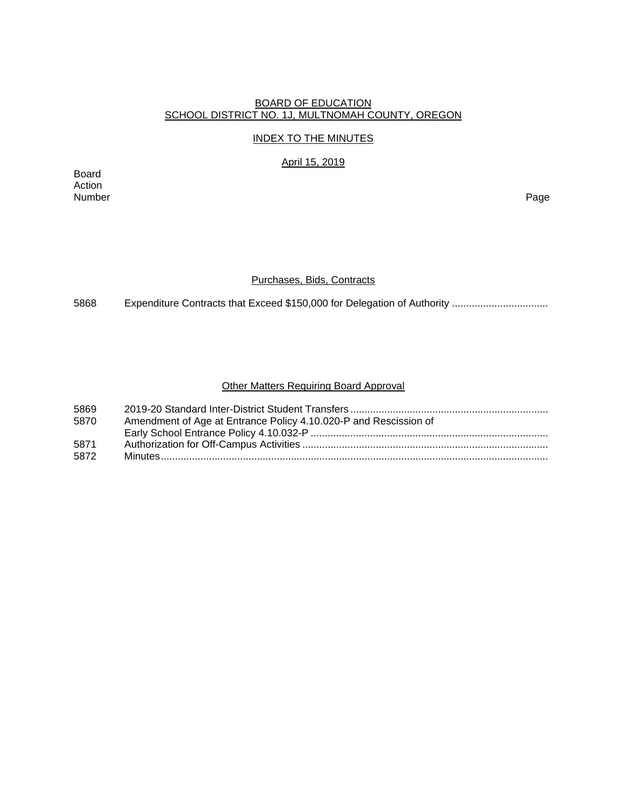## BOARD OF EDUCATION SCHOOL DISTRICT NO. 1J, MULTNOMAH COUNTY, OREGON

## INDEX TO THE MINUTES

April 15, 2019

Board Action Number Page

## Purchases, Bids, Contracts

5868 Expenditure Contracts that Exceed \$150,000 for Delegation of Authority .................................

## Other Matters Requiring Board Approval

| 5869 |                                                                  |
|------|------------------------------------------------------------------|
| 5870 | Amendment of Age at Entrance Policy 4.10.020-P and Rescission of |
|      |                                                                  |
| 5871 |                                                                  |
| 5872 |                                                                  |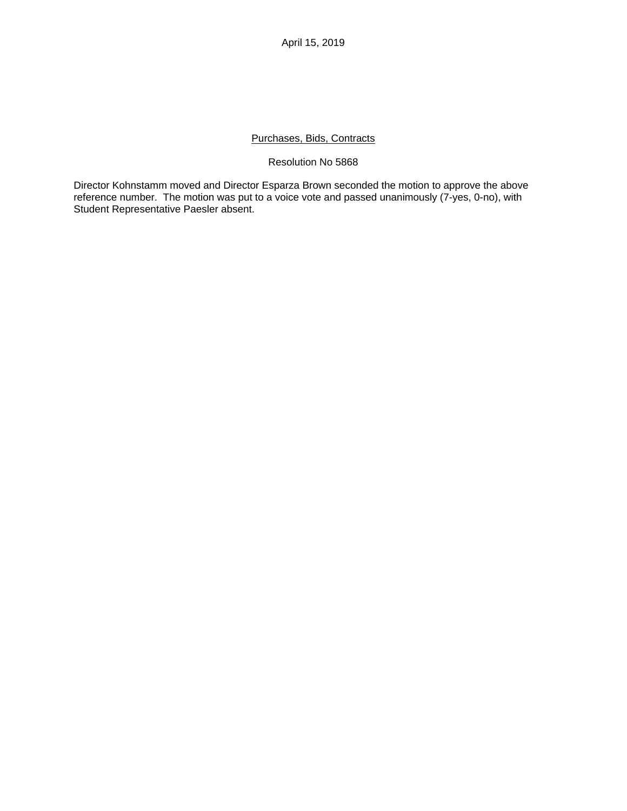April 15, 2019

## Purchases, Bids, Contracts

## Resolution No 5868

Director Kohnstamm moved and Director Esparza Brown seconded the motion to approve the above reference number. The motion was put to a voice vote and passed unanimously (7-yes, 0-no), with Student Representative Paesler absent.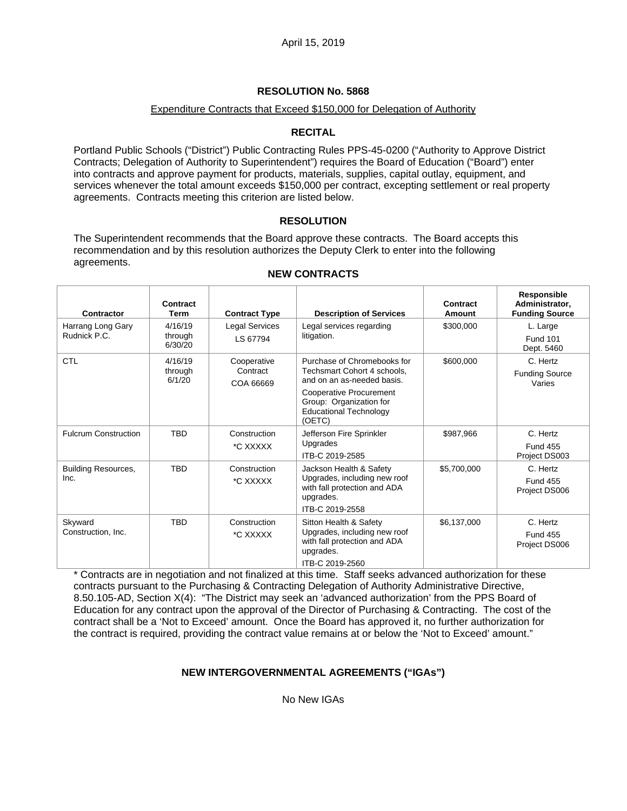# **RESOLUTION No. 5868**

# Expenditure Contracts that Exceed \$150,000 for Delegation of Authority

# **RECITAL**

Portland Public Schools ("District") Public Contracting Rules PPS-45-0200 ("Authority to Approve District Contracts; Delegation of Authority to Superintendent") requires the Board of Education ("Board") enter into contracts and approve payment for products, materials, supplies, capital outlay, equipment, and services whenever the total amount exceeds \$150,000 per contract, excepting settlement or real property agreements. Contracts meeting this criterion are listed below.

# **RESOLUTION**

The Superintendent recommends that the Board approve these contracts. The Board accepts this recommendation and by this resolution authorizes the Deputy Clerk to enter into the following agreements.

| \$300,000<br>L. Large<br><b>Fund 101</b><br>Dept. 5460      |
|-------------------------------------------------------------|
|                                                             |
|                                                             |
| \$600,000<br>C. Hertz                                       |
| <b>Funding Source</b><br>Varies                             |
|                                                             |
| \$987,966<br>C. Hertz                                       |
| <b>Fund 455</b><br>Project DS003                            |
| \$5,700,000<br>C. Hertz                                     |
| <b>Fund 455</b><br>Project DS006                            |
|                                                             |
| \$6,137,000<br>C. Hertz<br><b>Fund 455</b><br>Project DS006 |
|                                                             |

# **NEW CONTRACTS**

\* Contracts are in negotiation and not finalized at this time. Staff seeks advanced authorization for these contracts pursuant to the Purchasing & Contracting Delegation of Authority Administrative Directive, 8.50.105-AD, Section X(4): "The District may seek an 'advanced authorization' from the PPS Board of Education for any contract upon the approval of the Director of Purchasing & Contracting. The cost of the contract shall be a 'Not to Exceed' amount. Once the Board has approved it, no further authorization for the contract is required, providing the contract value remains at or below the 'Not to Exceed' amount."

# **NEW INTERGOVERNMENTAL AGREEMENTS ("IGAs")**

No New IGAs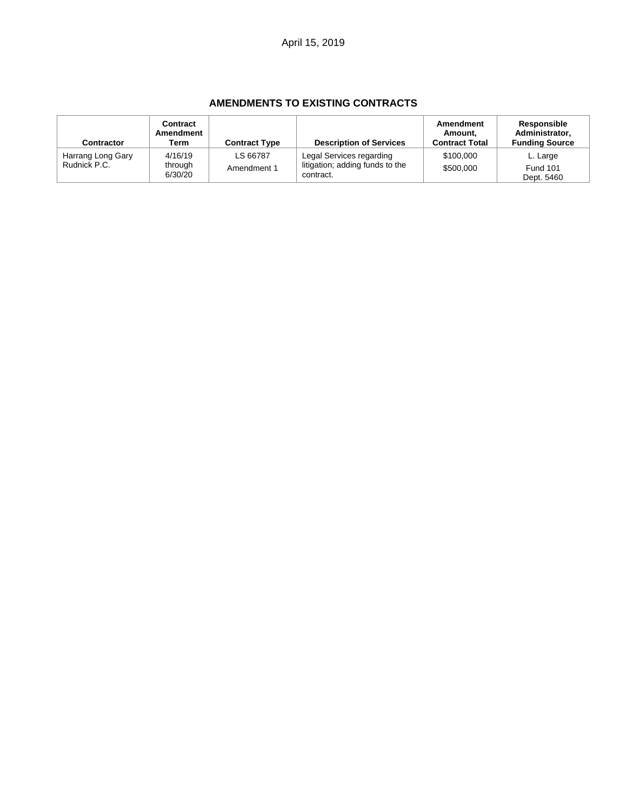# **AMENDMENTS TO EXISTING CONTRACTS**

| <b>Contractor</b>                 | Contract<br>Amendment<br>Term | <b>Contract Type</b>    | <b>Description of Services</b>                                           | Amendment<br>Amount.<br><b>Contract Total</b> | Responsible<br>Administrator.<br><b>Funding Source</b> |
|-----------------------------------|-------------------------------|-------------------------|--------------------------------------------------------------------------|-----------------------------------------------|--------------------------------------------------------|
| Harrang Long Gary<br>Rudnick P.C. | 4/16/19<br>through<br>6/30/20 | LS 66787<br>Amendment 1 | Legal Services regarding<br>litigation; adding funds to the<br>contract. | \$100,000<br>\$500,000                        | L. Large<br><b>Fund 101</b><br>Dept. 5460              |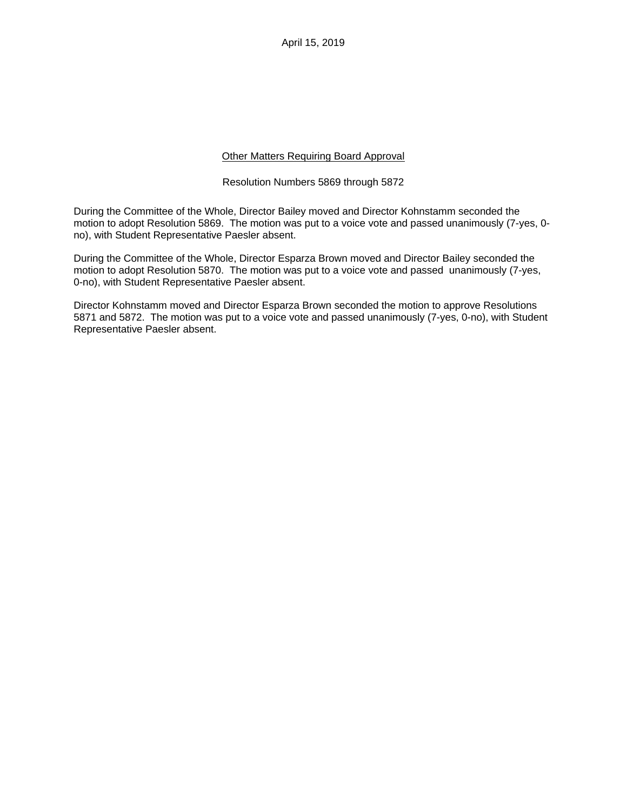April 15, 2019

## Other Matters Requiring Board Approval

#### Resolution Numbers 5869 through 5872

During the Committee of the Whole, Director Bailey moved and Director Kohnstamm seconded the motion to adopt Resolution 5869. The motion was put to a voice vote and passed unanimously (7-yes, 0 no), with Student Representative Paesler absent.

During the Committee of the Whole, Director Esparza Brown moved and Director Bailey seconded the motion to adopt Resolution 5870. The motion was put to a voice vote and passed unanimously (7-yes, 0-no), with Student Representative Paesler absent.

Director Kohnstamm moved and Director Esparza Brown seconded the motion to approve Resolutions 5871 and 5872. The motion was put to a voice vote and passed unanimously (7-yes, 0-no), with Student Representative Paesler absent.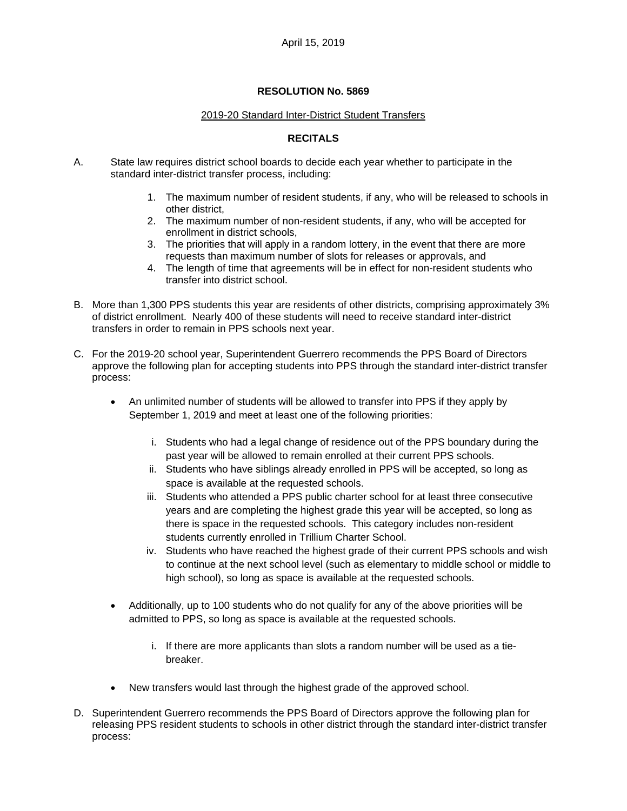## **RESOLUTION No. 5869**

#### 2019-20 Standard Inter-District Student Transfers

# **RECITALS**

- A. State law requires district school boards to decide each year whether to participate in the standard inter-district transfer process, including:
	- 1. The maximum number of resident students, if any, who will be released to schools in other district,
	- 2. The maximum number of non-resident students, if any, who will be accepted for enrollment in district schools,
	- 3. The priorities that will apply in a random lottery, in the event that there are more requests than maximum number of slots for releases or approvals, and
	- 4. The length of time that agreements will be in effect for non-resident students who transfer into district school.
- B. More than 1,300 PPS students this year are residents of other districts, comprising approximately 3% of district enrollment. Nearly 400 of these students will need to receive standard inter-district transfers in order to remain in PPS schools next year.
- C. For the 2019-20 school year, Superintendent Guerrero recommends the PPS Board of Directors approve the following plan for accepting students into PPS through the standard inter-district transfer process:
	- An unlimited number of students will be allowed to transfer into PPS if they apply by September 1, 2019 and meet at least one of the following priorities:
		- i. Students who had a legal change of residence out of the PPS boundary during the past year will be allowed to remain enrolled at their current PPS schools.
		- ii. Students who have siblings already enrolled in PPS will be accepted, so long as space is available at the requested schools.
		- iii. Students who attended a PPS public charter school for at least three consecutive years and are completing the highest grade this year will be accepted, so long as there is space in the requested schools. This category includes non-resident students currently enrolled in Trillium Charter School.
		- iv. Students who have reached the highest grade of their current PPS schools and wish to continue at the next school level (such as elementary to middle school or middle to high school), so long as space is available at the requested schools.
	- Additionally, up to 100 students who do not qualify for any of the above priorities will be admitted to PPS, so long as space is available at the requested schools.
		- i. If there are more applicants than slots a random number will be used as a tiebreaker.
	- New transfers would last through the highest grade of the approved school.
- D. Superintendent Guerrero recommends the PPS Board of Directors approve the following plan for releasing PPS resident students to schools in other district through the standard inter-district transfer process: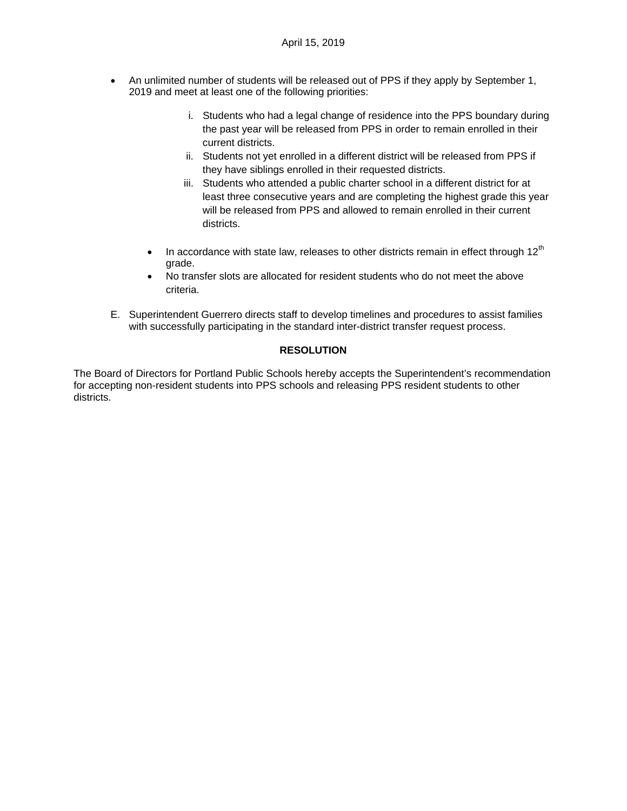- An unlimited number of students will be released out of PPS if they apply by September 1, 2019 and meet at least one of the following priorities:
	- i. Students who had a legal change of residence into the PPS boundary during the past year will be released from PPS in order to remain enrolled in their current districts.
	- ii. Students not yet enrolled in a different district will be released from PPS if they have siblings enrolled in their requested districts.
	- iii. Students who attended a public charter school in a different district for at least three consecutive years and are completing the highest grade this year will be released from PPS and allowed to remain enrolled in their current districts.
	- In accordance with state law, releases to other districts remain in effect through  $12<sup>th</sup>$ grade.
	- No transfer slots are allocated for resident students who do not meet the above criteria.
- E. Superintendent Guerrero directs staff to develop timelines and procedures to assist families with successfully participating in the standard inter-district transfer request process.

# **RESOLUTION**

The Board of Directors for Portland Public Schools hereby accepts the Superintendent's recommendation for accepting non-resident students into PPS schools and releasing PPS resident students to other districts.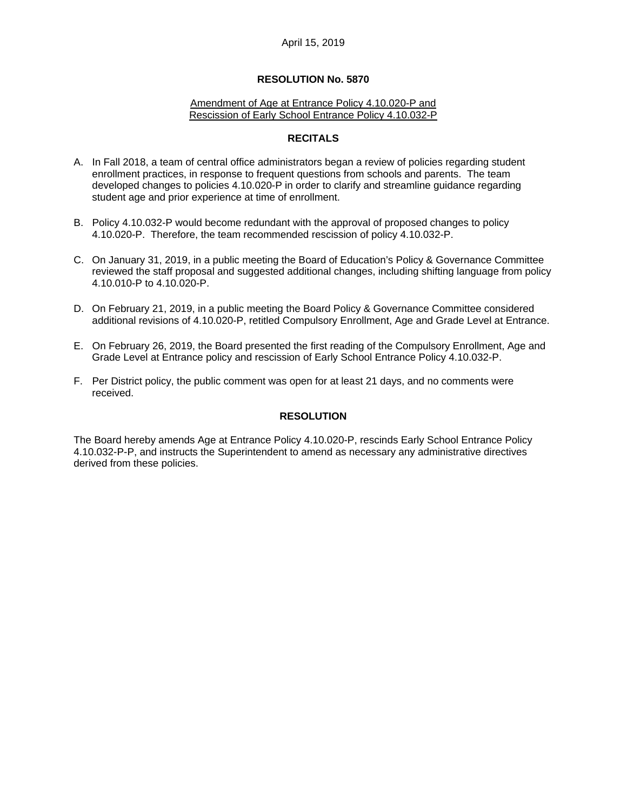# April 15, 2019

#### **RESOLUTION No. 5870**

#### Amendment of Age at Entrance Policy 4.10.020-P and Rescission of Early School Entrance Policy 4.10.032-P

#### **RECITALS**

- A. In Fall 2018, a team of central office administrators began a review of policies regarding student enrollment practices, in response to frequent questions from schools and parents. The team developed changes to policies 4.10.020-P in order to clarify and streamline guidance regarding student age and prior experience at time of enrollment.
- B. Policy 4.10.032-P would become redundant with the approval of proposed changes to policy 4.10.020-P. Therefore, the team recommended rescission of policy 4.10.032-P.
- C. On January 31, 2019, in a public meeting the Board of Education's Policy & Governance Committee reviewed the staff proposal and suggested additional changes, including shifting language from policy 4.10.010-P to 4.10.020-P.
- D. On February 21, 2019, in a public meeting the Board Policy & Governance Committee considered additional revisions of 4.10.020-P, retitled Compulsory Enrollment, Age and Grade Level at Entrance.
- E. On February 26, 2019, the Board presented the first reading of the Compulsory Enrollment, Age and Grade Level at Entrance policy and rescission of Early School Entrance Policy 4.10.032-P.
- F. Per District policy, the public comment was open for at least 21 days, and no comments were received.

## **RESOLUTION**

The Board hereby amends Age at Entrance Policy 4.10.020-P, rescinds Early School Entrance Policy 4.10.032-P-P, and instructs the Superintendent to amend as necessary any administrative directives derived from these policies.